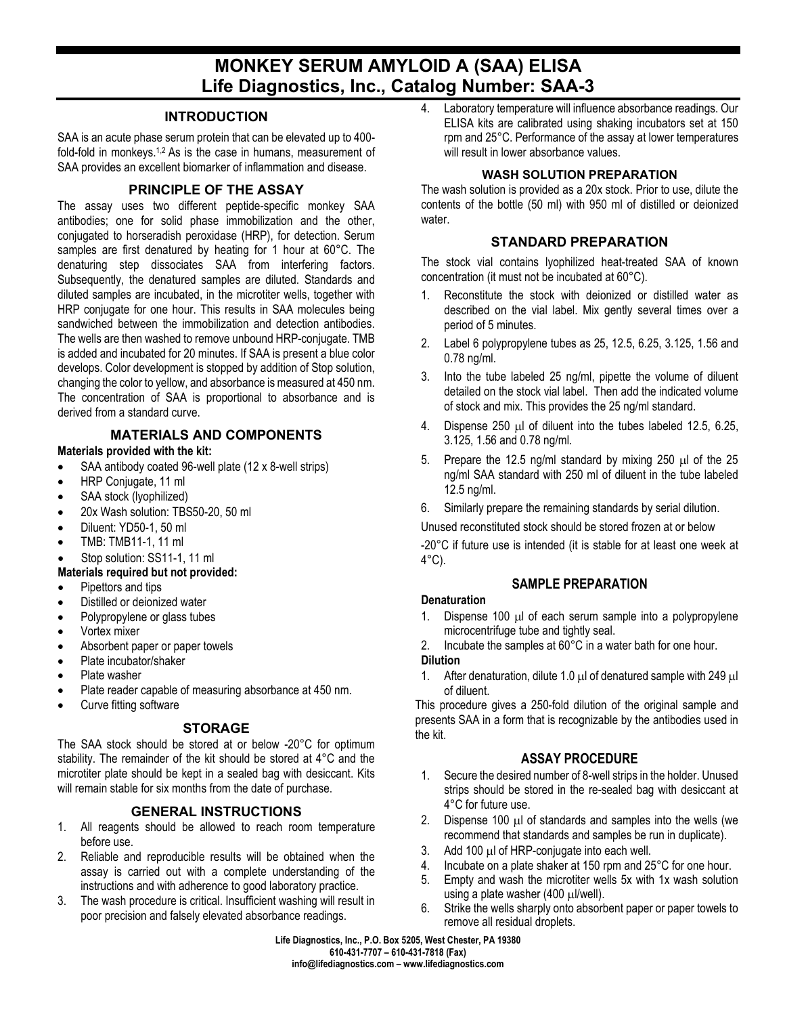# **MONKEY SERUM AMYLOID A (SAA) ELISA Life Diagnostics, Inc., Catalog Number: SAA-3**

## **INTRODUCTION**

SAA is an acute phase serum protein that can be elevated up to 400 fold-fold in monkeys.<sup>1,2</sup> As is the case in humans, measurement of SAA provides an excellent biomarker of inflammation and disease.

# **PRINCIPLE OF THE ASSAY**

The assay uses two different peptide-specific monkey SAA antibodies; one for solid phase immobilization and the other, conjugated to horseradish peroxidase (HRP), for detection. Serum samples are first denatured by heating for 1 hour at 60°C. The denaturing step dissociates SAA from interfering factors. Subsequently, the denatured samples are diluted. Standards and diluted samples are incubated, in the microtiter wells, together with HRP conjugate for one hour. This results in SAA molecules being sandwiched between the immobilization and detection antibodies. The wells are then washed to remove unbound HRP-conjugate. TMB is added and incubated for 20 minutes. If SAA is present a blue color develops. Color development is stopped by addition of Stop solution, changing the color to yellow, and absorbance is measured at 450 nm. The concentration of SAA is proportional to absorbance and is derived from a standard curve.

# **MATERIALS AND COMPONENTS**

#### **Materials provided with the kit:**

- SAA antibody coated 96-well plate (12 x 8-well strips)
- HRP Conjugate, 11 ml
- SAA stock (Ivophilized)
- 20x Wash solution: TBS50-20, 50 ml
- Diluent: YD50-1, 50 ml
- TMB: TMB11-1, 11 ml
- Stop solution: SS11-1, 11 ml

## **Materials required but not provided:**

- Pipettors and tips
- Distilled or deionized water
- Polypropylene or glass tubes
- Vortex mixer
- Absorbent paper or paper towels
- Plate incubator/shaker
- Plate washer
- Plate reader capable of measuring absorbance at 450 nm.
- Curve fitting software

## **STORAGE**

The SAA stock should be stored at or below -20°C for optimum stability. The remainder of the kit should be stored at 4°C and the microtiter plate should be kept in a sealed bag with desiccant. Kits will remain stable for six months from the date of purchase.

# **GENERAL INSTRUCTIONS**

- 1. All reagents should be allowed to reach room temperature before use.
- 2. Reliable and reproducible results will be obtained when the assay is carried out with a complete understanding of the instructions and with adherence to good laboratory practice.
- 3. The wash procedure is critical. Insufficient washing will result in poor precision and falsely elevated absorbance readings.

4. Laboratory temperature will influence absorbance readings. Our ELISA kits are calibrated using shaking incubators set at 150 rpm and 25°C. Performance of the assay at lower temperatures will result in lower absorbance values.

## **WASH SOLUTION PREPARATION**

The wash solution is provided as a 20x stock. Prior to use, dilute the contents of the bottle (50 ml) with 950 ml of distilled or deionized water.

## **STANDARD PREPARATION**

The stock vial contains lyophilized heat-treated SAA of known concentration (it must not be incubated at 60°C).

- 1. Reconstitute the stock with deionized or distilled water as described on the vial label. Mix gently several times over a period of 5 minutes.
- 2. Label 6 polypropylene tubes as 25, 12.5, 6.25, 3.125, 1.56 and 0.78 ng/ml.
- 3. Into the tube labeled 25 ng/ml, pipette the volume of diluent detailed on the stock vial label. Then add the indicated volume of stock and mix. This provides the 25 ng/ml standard.
- 4. Dispense 250 µl of diluent into the tubes labeled 12.5, 6.25, 3.125, 1.56 and 0.78 ng/ml.
- 5. Prepare the 12.5 ng/ml standard by mixing 250  $\mu$ l of the 25 ng/ml SAA standard with 250 ml of diluent in the tube labeled 12.5 ng/ml.
- 6. Similarly prepare the remaining standards by serial dilution.

Unused reconstituted stock should be stored frozen at or below

-20°C if future use is intended (it is stable for at least one week at 4°C).

# **SAMPLE PREPARATION**

## **Denaturation**

- 1. Dispense 100 µl of each serum sample into a polypropylene microcentrifuge tube and tightly seal.
- 2. Incubate the samples at 60°C in a water bath for one hour. **Dilution**
- 1. After denaturation, dilute 1.0  $\mu$  of denatured sample with 249  $\mu$ of diluent.

This procedure gives a 250-fold dilution of the original sample and presents SAA in a form that is recognizable by the antibodies used in the kit.

## **ASSAY PROCEDURE**

- 1. Secure the desired number of 8-well strips in the holder. Unused strips should be stored in the re-sealed bag with desiccant at 4°C for future use.
- 2. Dispense 100 µl of standards and samples into the wells (we recommend that standards and samples be run in duplicate).
- 3. Add 100 µl of HRP-conjugate into each well.
- 4. Incubate on a plate shaker at 150 rpm and 25°C for one hour.
- 5. Empty and wash the microtiter wells 5x with 1x wash solution using a plate washer (400 µl/well).
- 6. Strike the wells sharply onto absorbent paper or paper towels to remove all residual droplets.

**Life Diagnostics, Inc., P.O. Box 5205, West Chester, PA 19380 610-431-7707 – 610-431-7818 (Fax) info@lifediagnostics.com – www.lifediagnostics.com**